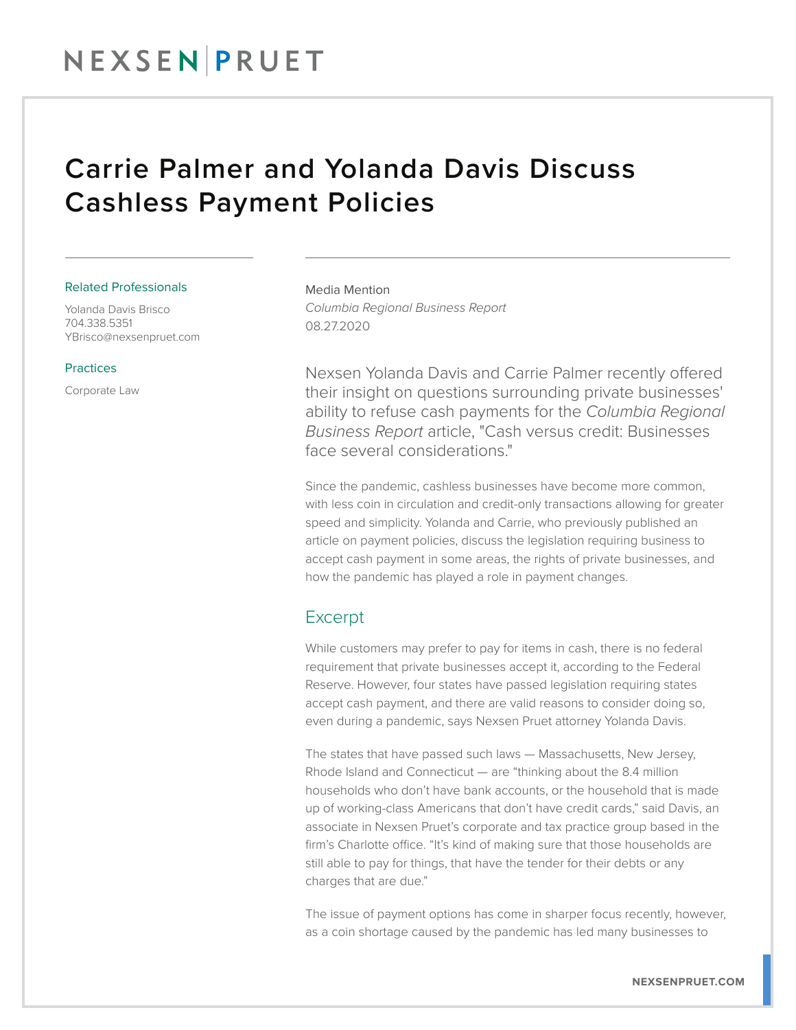## NEXSEN PRUET

### Carrie Palmer and Yolanda Davis Discuss Cashless Payment Policies

#### Related Professionals

Yolanda Davis Brisco 704.338.5351 YBrisco@nexsenpruet.com

#### Practices

Corporate Law

Media Mention *Columbia Regional Business Report* 08.27.2020

Nexsen Yolanda Davis and Carrie Palmer recently offered their insight on questions surrounding private businesses' ability to refuse cash payments for the *Columbia Regional Business Report* article, "Cash versus credit: Businesses face several considerations."

Since the pandemic, cashless businesses have become more common, with less coin in circulation and credit-only transactions allowing for greater speed and simplicity. Yolanda and Carrie, who previously published an article on payment policies, discuss the legislation requiring business to accept cash payment in some areas, the rights of private businesses, and how the pandemic has played a role in payment changes.

### Excerpt

While customers may prefer to pay for items in cash, there is no federal requirement that private businesses accept it, according to the Federal Reserve. However, four states have passed legislation requiring states accept cash payment, and there are valid reasons to consider doing so, even during a pandemic, says Nexsen Pruet attorney Yolanda Davis.

The states that have passed such laws — Massachusetts, New Jersey, Rhode Island and Connecticut — are "thinking about the 8.4 million households who don't have bank accounts, or the household that is made up of working-class Americans that don't have credit cards," said Davis, an associate in Nexsen Pruet's corporate and tax practice group based in the firm's Charlotte office. "It's kind of making sure that those households are still able to pay for things, that have the tender for their debts or any charges that are due."

The issue of payment options has come in sharper focus recently, however, as a coin shortage caused by the pandemic has led many businesses to